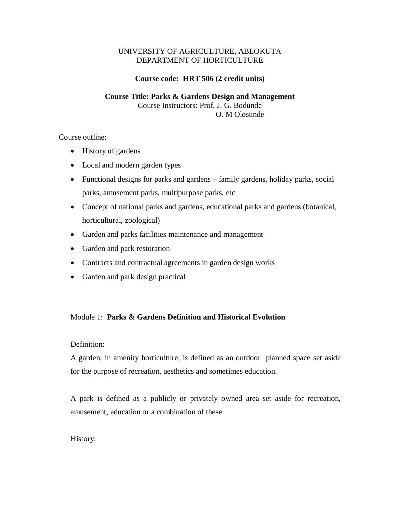# UNIVERSITY OF AGRICULTURE, ABEOKUTA DEPARTMENT OF HORTICULTURE

## **Course code: HRT 506 (2 credit units)**

### **Course Title: Parks & Gardens Design and Management** Course Instructors: Prof. J. G. Bodunde

O. M Olosunde

Course outline:

- History of gardens
- Local and modern garden types
- Functional designs for parks and gardens family gardens, holiday parks, social parks, amusement parks, multipurpose parks, etc
- Concept of national parks and gardens, educational parks and gardens (botanical, horticultural, zoological)
- Garden and parks facilities maintenance and management
- Garden and park restoration
- Contracts and contractual agreements in garden design works
- Garden and park design practical

# Module 1: **Parks & Gardens Definition and Historical Evolution**

## Definition:

A garden, in amenity horticulture, is defined as an outdoor planned space set aside for the purpose of recreation, aesthetics and sometimes education.

A park is defined as a publicly or privately owned area set aside for recreation, amusement, education or a combination of these.

History: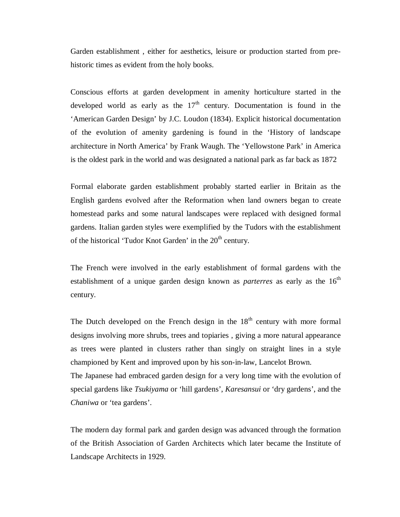Garden establishment , either for aesthetics, leisure or production started from prehistoric times as evident from the holy books.

Conscious efforts at garden development in amenity horticulture started in the developed world as early as the  $17<sup>th</sup>$  century. Documentation is found in the 'American Garden Design' by J.C. Loudon (1834). Explicit historical documentation of the evolution of amenity gardening is found in the 'History of landscape architecture in North America' by Frank Waugh. The 'Yellowstone Park' in America is the oldest park in the world and was designated a national park as far back as 1872

Formal elaborate garden establishment probably started earlier in Britain as the English gardens evolved after the Reformation when land owners began to create homestead parks and some natural landscapes were replaced with designed formal gardens. Italian garden styles were exemplified by the Tudors with the establishment of the historical 'Tudor Knot Garden' in the 20<sup>th</sup> century.

The French were involved in the early establishment of formal gardens with the establishment of a unique garden design known as *parterres* as early as the 16<sup>th</sup> century.

The Dutch developed on the French design in the  $18<sup>th</sup>$  century with more formal designs involving more shrubs, trees and topiaries , giving a more natural appearance as trees were planted in clusters rather than singly on straight lines in a style championed by Kent and improved upon by his son-in-law, Lancelot Brown.

The Japanese had embraced garden design for a very long time with the evolution of special gardens like *Tsukiyama* or 'hill gardens', *Karesansui* or 'dry gardens', and the *Chaniwa* or 'tea gardens'.

The modern day formal park and garden design was advanced through the formation of the British Association of Garden Architects which later became the Institute of Landscape Architects in 1929.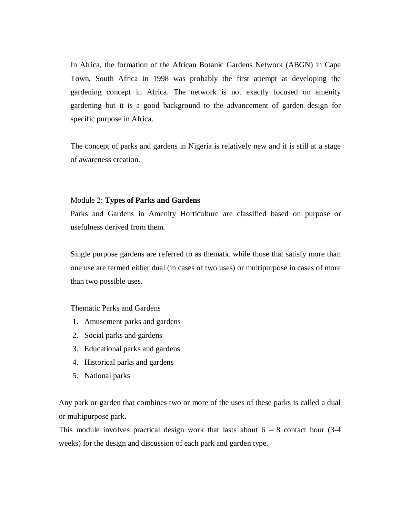In Africa, the formation of the African Botanic Gardens Network (ABGN) in Cape Town, South Africa in 1998 was probably the first attempt at developing the gardening concept in Africa. The network is not exactly focused on amenity gardening but it is a good background to the advancement of garden design for specific purpose in Africa.

The concept of parks and gardens in Nigeria is relatively new and it is still at a stage of awareness creation.

#### Module 2: **Types of Parks and Gardens**

Parks and Gardens in Amenity Horticulture are classified based on purpose or usefulness derived from them.

Single purpose gardens are referred to as thematic while those that satisfy more than one use are termed either dual (in cases of two uses) or multipurpose in cases of more than two possible uses.

Thematic Parks and Gardens

- 1. Amusement parks and gardens
- 2. Social parks and gardens
- 3. Educational parks and gardens
- 4. Historical parks and gardens
- 5. National parks

Any park or garden that combines two or more of the uses of these parks is called a dual or multipurpose park.

This module involves practical design work that lasts about  $6 - 8$  contact hour (3-4) weeks) for the design and discussion of each park and garden type.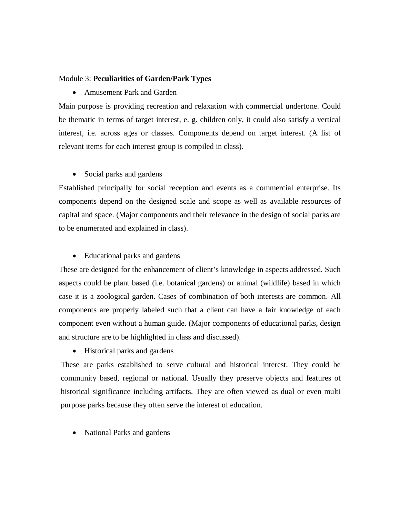## Module 3: **Peculiarities of Garden/Park Types**

Amusement Park and Garden

Main purpose is providing recreation and relaxation with commercial undertone. Could be thematic in terms of target interest, e. g. children only, it could also satisfy a vertical interest, i.e. across ages or classes. Components depend on target interest. (A list of relevant items for each interest group is compiled in class).

• Social parks and gardens

Established principally for social reception and events as a commercial enterprise. Its components depend on the designed scale and scope as well as available resources of capital and space. (Major components and their relevance in the design of social parks are to be enumerated and explained in class).

• Educational parks and gardens

These are designed for the enhancement of client's knowledge in aspects addressed. Such aspects could be plant based (i.e. botanical gardens) or animal (wildlife) based in which case it is a zoological garden. Cases of combination of both interests are common. All components are properly labeled such that a client can have a fair knowledge of each component even without a human guide. (Major components of educational parks, design and structure are to be highlighted in class and discussed).

• Historical parks and gardens

These are parks established to serve cultural and historical interest. They could be community based, regional or national. Usually they preserve objects and features of historical significance including artifacts. They are often viewed as dual or even multi purpose parks because they often serve the interest of education.

• National Parks and gardens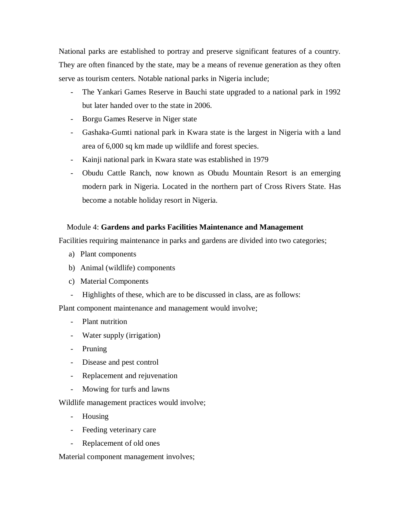National parks are established to portray and preserve significant features of a country. They are often financed by the state, may be a means of revenue generation as they often serve as tourism centers. Notable national parks in Nigeria include;

- The Yankari Games Reserve in Bauchi state upgraded to a national park in 1992 but later handed over to the state in 2006.
- Borgu Games Reserve in Niger state
- Gashaka-Gumti national park in Kwara state is the largest in Nigeria with a land area of 6,000 sq km made up wildlife and forest species.
- Kainji national park in Kwara state was established in 1979
- Obudu Cattle Ranch, now known as Obudu Mountain Resort is an emerging modern park in Nigeria. Located in the northern part of Cross Rivers State. Has become a notable holiday resort in Nigeria.

# Module 4: **Gardens and parks Facilities Maintenance and Management**

Facilities requiring maintenance in parks and gardens are divided into two categories;

- a) Plant components
- b) Animal (wildlife) components
- c) Material Components
- Highlights of these, which are to be discussed in class, are as follows:

Plant component maintenance and management would involve;

- Plant nutrition
- Water supply (irrigation)
- Pruning
- Disease and pest control
- Replacement and rejuvenation
- Mowing for turfs and lawns

Wildlife management practices would involve;

- Housing
- Feeding veterinary care
- Replacement of old ones

Material component management involves;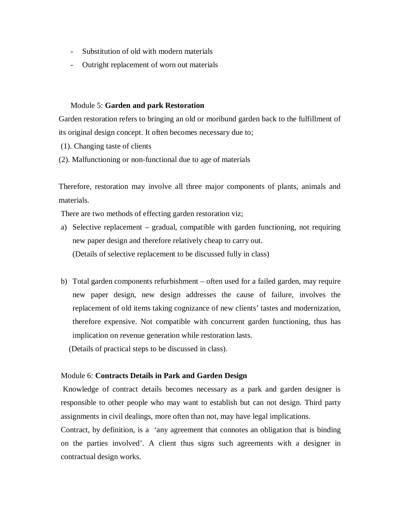- Substitution of old with modern materials
- Outright replacement of worn out materials

### Module 5: **Garden and park Restoration**

Garden restoration refers to bringing an old or moribund garden back to the fulfillment of its original design concept. It often becomes necessary due to;

(1). Changing taste of clients

(2). Malfunctioning or non-functional due to age of materials

Therefore, restoration may involve all three major components of plants, animals and materials.

There are two methods of effecting garden restoration viz;

- a) Selective replacement gradual, compatible with garden functioning, not requiring new paper design and therefore relatively cheap to carry out. (Details of selective replacement to be discussed fully in class)
- b) Total garden components refurbishment often used for a failed garden, may require new paper design, new design addresses the cause of failure, involves the replacement of old items taking cognizance of new clients' tastes and modernization, therefore expensive. Not compatible with concurrent garden functioning, thus has implication on revenue generation while restoration lasts.

(Details of practical steps to be discussed in class).

### Module 6: **Contracts Details in Park and Garden Design**

Knowledge of contract details becomes necessary as a park and garden designer is responsible to other people who may want to establish but can not design. Third party assignments in civil dealings, more often than not, may have legal implications.

Contract, by definition, is a 'any agreement that connotes an obligation that is binding on the parties involved'. A client thus signs such agreements with a designer in contractual design works.